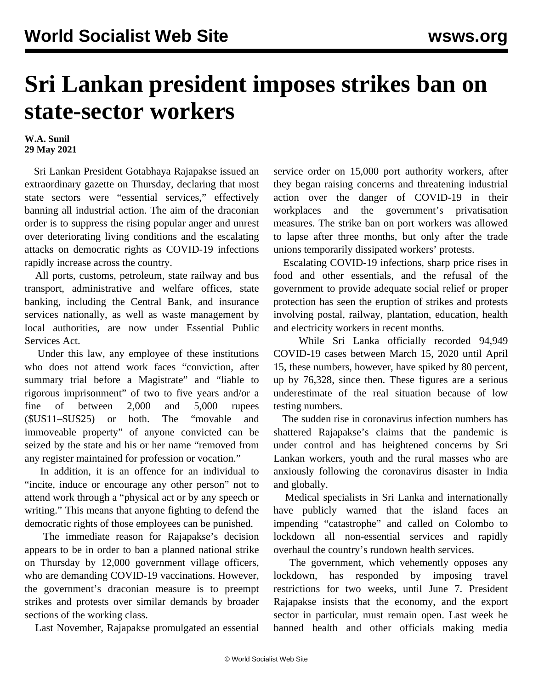## **Sri Lankan president imposes strikes ban on state-sector workers**

## **W.A. Sunil 29 May 2021**

 Sri Lankan President Gotabhaya Rajapakse issued an extraordinary gazette on Thursday, declaring that most state sectors were "essential services," effectively banning all industrial action. The aim of the draconian order is to suppress the rising popular anger and unrest over deteriorating living conditions and the escalating attacks on democratic rights as COVID-19 infections rapidly increase across the country.

 All ports, customs, petroleum, state railway and bus transport, administrative and welfare offices, state banking, including the Central Bank, and insurance services nationally, as well as waste management by local authorities, are now under Essential Public Services Act.

 Under this law, any employee of these institutions who does not attend work faces "conviction, after summary trial before a Magistrate" and "liable to rigorous imprisonment" of two to five years and/or a fine of between 2,000 and 5,000 rupees (\$US11–\$US25) or both. The "movable and immoveable property" of anyone convicted can be seized by the state and his or her name "removed from any register maintained for profession or vocation."

 In addition, it is an offence for an individual to "incite, induce or encourage any other person" not to attend work through a "physical act or by any speech or writing." This means that anyone fighting to defend the democratic rights of those employees can be punished.

 The immediate reason for Rajapakse's decision appears to be in order to ban a planned national strike on Thursday by 12,000 government village officers, who are demanding COVID-19 vaccinations. However, the government's draconian measure is to preempt strikes and protests over similar demands by broader sections of the working class.

Last November, Rajapakse promulgated an essential

service order on 15,000 port authority workers, after they began raising concerns and threatening industrial action over the danger of COVID-19 in their workplaces and the government's privatisation measures. The strike ban on port workers was allowed to lapse after three months, but only after the trade unions temporarily dissipated workers' protests.

 Escalating COVID-19 infections, sharp price rises in food and other essentials, and the refusal of the government to provide adequate social relief or proper protection has seen the eruption of strikes and protests involving postal, railway, plantation, education, health and electricity workers in recent months.

 While Sri Lanka officially recorded 94,949 COVID-19 cases between March 15, 2020 until April 15, these numbers, however, have spiked by 80 percent, up by 76,328, since then. These figures are a serious underestimate of the real situation because of low testing numbers.

 The sudden rise in coronavirus infection numbers has shattered Rajapakse's claims that the pandemic is under control and has heightened concerns by Sri Lankan workers, youth and the rural masses who are anxiously following the coronavirus disaster in India and globally.

 Medical specialists in Sri Lanka and internationally have publicly warned that the island faces an impending "catastrophe" and called on Colombo to lockdown all non-essential services and rapidly overhaul the country's rundown health services.

 The government, which vehemently opposes any lockdown, has responded by imposing travel restrictions for two weeks, until June 7. President Rajapakse insists that the economy, and the export sector in particular, must remain open. Last week he [banned](/en/articles/2021/05/26/slco-m26.html) health and other officials making media